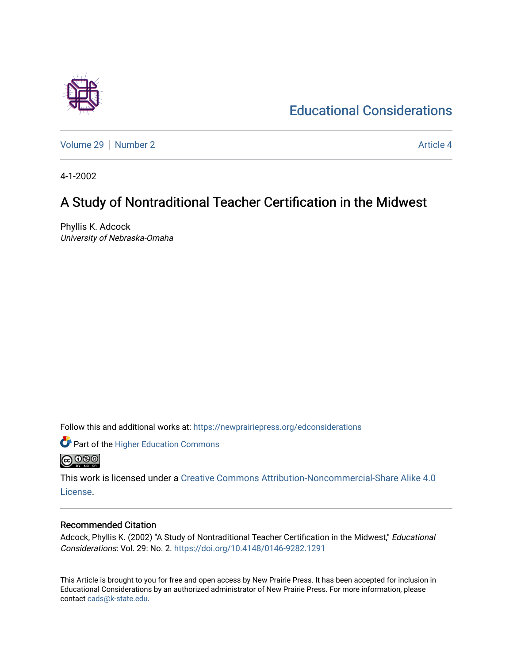[Volume 29](https://newprairiepress.org/edconsiderations/vol29) [Number 2](https://newprairiepress.org/edconsiderations/vol29/iss2) Article 4

[Educational Considerations](https://newprairiepress.org/edconsiderations) 

4-1-2002

## A Study of Nontraditional Teacher Certification in the Midwest

Phyllis K. Adcock University of Nebraska-Omaha

Follow this and additional works at: [https://newprairiepress.org/edconsiderations](https://newprairiepress.org/edconsiderations?utm_source=newprairiepress.org%2Fedconsiderations%2Fvol29%2Fiss2%2F4&utm_medium=PDF&utm_campaign=PDFCoverPages) 

**Part of the Higher Education Commons @** 00

This work is licensed under a [Creative Commons Attribution-Noncommercial-Share Alike 4.0](https://creativecommons.org/licenses/by-nc-sa/4.0/) [License.](https://creativecommons.org/licenses/by-nc-sa/4.0/)

### Recommended Citation

Adcock, Phyllis K. (2002) "A Study of Nontraditional Teacher Certification in the Midwest," Educational Considerations: Vol. 29: No. 2. <https://doi.org/10.4148/0146-9282.1291>

This Article is brought to you for free and open access by New Prairie Press. It has been accepted for inclusion in Educational Considerations by an authorized administrator of New Prairie Press. For more information, please contact [cads@k-state.edu](mailto:cads@k-state.edu).

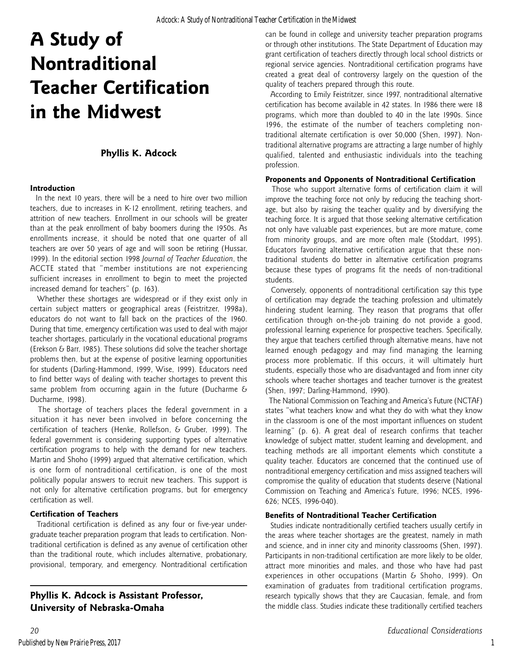# **A Study of Nontraditional Teacher Certification in the Midwest**

### **Phyllis K. Adcock**

#### **Introduction**

 In the next 10 years, there will be a need to hire over two million teachers, due to increases in K-12 enrollment, retiring teachers, and attrition of new teachers. Enrollment in our schools will be greater than at the peak enrollment of baby boomers during the 1950s. As enrollments increase, it should be noted that one quarter of all teachers are over 50 years of age and will soon be retiring (Hussar, 1999). In the editorial section 1998 *Journal of Teacher Education*, the ACCTE stated that "member institutions are not experiencing sufficient increases in enrollment to begin to meet the projected increased demand for teachers" (p. 163).

 Whether these shortages are widespread or if they exist only in certain subject matters or geographical areas (Feistritzer, 1998a), educators do not want to fall back on the practices of the 1960. During that time, emergency certification was used to deal with major teacher shortages, particularly in the vocational educational programs (Erekson & Barr, 1985). These solutions did solve the teacher shortage problems then, but at the expense of positive learning opportunities for students (Darling-Hammond, 1999, Wise, 1999). Educators need to find better ways of dealing with teacher shortages to prevent this same problem from occurring again in the future (Ducharme  $6$ Ducharme, 1998).

 The shortage of teachers places the federal government in a situation it has never been involved in before concerning the certification of teachers (Henke, Rollefson, & Gruber, 1999). The federal government is considering supporting types of alternative certification programs to help with the demand for new teachers. Martin and Shoho (1999) argued that alternative certification, which is one form of nontraditional certification, is one of the most politically popular answers to recruit new teachers. This support is not only for alternative certification programs, but for emergency certification as well.

#### **Certification of Teachers**

 Traditional certification is defined as any four or five-year undergraduate teacher preparation program that leads to certification. Nontraditional certification is defined as any avenue of certification other than the traditional route, which includes alternative, probationary, provisional, temporary, and emergency. Nontraditional certification

**Phyllis K. Adcock is Assistant Professor, University of Nebraska-Omaha**

can be found in college and university teacher preparation programs or through other institutions. The State Department of Education may grant certification of teachers directly through local school districts or regional service agencies. Nontraditional certification programs have created a great deal of controversy largely on the question of the quality of teachers prepared through this route.

 According to Emily Feistritzer, since 1997, nontraditional alternative certification has become available in 42 states. In 1986 there were 18 programs, which more than doubled to 40 in the late 1990s. Since 1996, the estimate of the number of teachers completing nontraditional alternate certification is over 50,000 (Shen, 1997). Nontraditional alternative programs are attracting a large number of highly qualified, talented and enthusiastic individuals into the teaching profession.

#### **Proponents and Opponents of Nontraditional Certification**

 Those who support alternative forms of certification claim it will improve the teaching force not only by reducing the teaching shortage, but also by raising the teacher quality and by diversifying the teaching force. It is argued that those seeking alternative certification not only have valuable past experiences, but are more mature, come from minority groups, and are more often male (Stoddart, 1995). Educators favoring alternative certification argue that these nontraditional students do better in alternative certification programs because these types of programs fit the needs of non-traditional students.

 Conversely, opponents of nontraditional certification say this type of certification may degrade the teaching profession and ultimately hindering student learning. They reason that programs that offer certification through on-the-job training do not provide a good, professional learning experience for prospective teachers. Specifically, they argue that teachers certified through alternative means, have not learned enough pedagogy and may find managing the learning process more problematic. If this occurs, it will ultimately hurt students, especially those who are disadvantaged and from inner city schools where teacher shortages and teacher turnover is the greatest (Shen, 1997; Darling-Hammond, 1990).

 The National Commission on Teaching and America's Future (NCTAF) states "what teachers know and what they do with what they know in the classroom is one of the most important influences on student learning" (p. 6). A great deal of research confirms that teacher knowledge of subject matter, student learning and development, and teaching methods are all important elements which constitute a quality teacher. Educators are concerned that the continued use of nontraditional emergency certification and miss assigned teachers will compromise the quality of education that students deserve (National Commission on Teaching and America's Future, 1996; NCES, 1996- 626; NCES, 1996-040).

#### **Benefits of Nontraditional Teacher Certification**

 Studies indicate nontraditionally certified teachers usually certify in the areas where teacher shortages are the greatest, namely in math and science, and in inner city and minority classrooms (Shen, 1997). Participants in non-traditional certification are more likely to be older, attract more minorities and males, and those who have had past experiences in other occupations (Martin & Shoho, 1999). On examination of graduates from traditional certification programs, research typically shows that they are Caucasian, female, and from the middle class. Studies indicate these traditionally certified teachers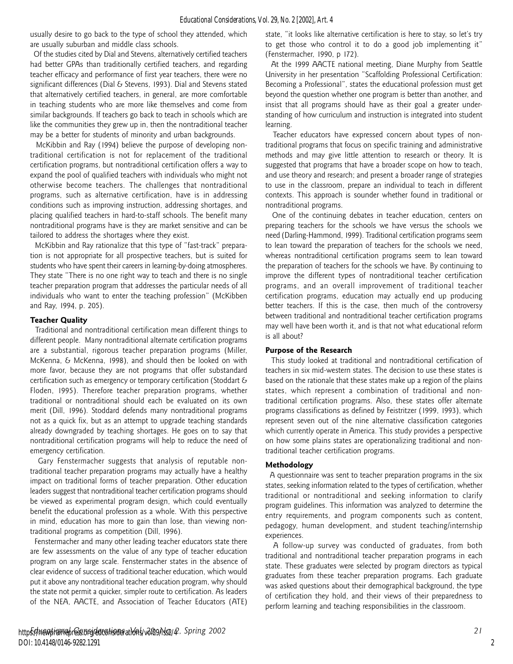usually desire to go back to the type of school they attended, which are usually suburban and middle class schools.

 Of the studies cited by Dial and Stevens, alternatively certified teachers had better GPAs than traditionally certified teachers, and regarding teacher efficacy and performance of first year teachers, there were no significant differences (Dial & Stevens, 1993). Dial and Stevens stated that alternatively certified teachers, in general, are more comfortable in teaching students who are more like themselves and come from similar backgrounds. If teachers go back to teach in schools which are like the communities they grew up in, then the nontraditional teacher may be a better for students of minority and urban backgrounds.

 McKibbin and Ray (1994) believe the purpose of developing nontraditional certification is not for replacement of the traditional certification programs, but nontraditional certification offers a way to expand the pool of qualified teachers with individuals who might not otherwise become teachers. The challenges that nontraditional programs, such as alternative certification, have is in addressing conditions such as improving instruction, addressing shortages, and placing qualified teachers in hard-to-staff schools. The benefit many nontraditional programs have is they are market sensitive and can be tailored to address the shortages where they exist.

 McKibbin and Ray rationalize that this type of "fast-track" preparation is not appropriate for all prospective teachers, but is suited for students who have spent their careers in learning-by-doing atmospheres. They state "There is no one right way to teach and there is no single teacher preparation program that addresses the particular needs of all individuals who want to enter the teaching profession" (McKibben and Ray, 1994, p. 205).

#### **Teacher Quality**

 Traditional and nontraditional certification mean different things to different people. Many nontraditional alternate certification programs are a substantial, rigorous teacher preparation programs (Miller, McKenna, & McKenna, 1998), and should then be looked on with more favor, because they are not programs that offer substandard certification such as emergency or temporary certification (Stoddart & Floden, 1995). Therefore teacher preparation programs, whether traditional or nontraditional should each be evaluated on its own merit (Dill, 1996). Stoddard defends many nontraditional programs not as a quick fix, but as an attempt to upgrade teaching standards already downgraded by teaching shortages. He goes on to say that nontraditional certification programs will help to reduce the need of emergency certification.

 Gary Fenstermacher suggests that analysis of reputable nontraditional teacher preparation programs may actually have a healthy impact on traditional forms of teacher preparation. Other education leaders suggest that nontraditional teacher certification programs should be viewed as experimental program design, which could eventually benefit the educational profession as a whole. With this perspective in mind, education has more to gain than lose, than viewing nontraditional programs as competition (Dill, 1996).

 Fenstermacher and many other leading teacher educators state there are few assessments on the value of any type of teacher education program on any large scale. Fenstermacher states in the absence of clear evidence of success of traditional teacher education, which would put it above any nontraditional teacher education program, why should the state not permit a quicker, simpler route to certification. As leaders of the NEA, AACTE, and Association of Teacher Educators (ATE)

state, "it looks like alternative certification is here to stay, so let's try to get those who control it to do a good job implementing it" (Fenstermacher, 1990, p 172).

 At the 1999 AACTE national meeting, Diane Murphy from Seattle University in her presentation "Scaffolding Professional Certification: Becoming a Professional", states the educational profession must get beyond the question whether one program is better than another, and insist that all programs should have as their goal a greater understanding of how curriculum and instruction is integrated into student learning.

 Teacher educators have expressed concern about types of nontraditional programs that focus on specific training and administrative methods and may give little attention to research or theory. It is suggested that programs that have a broader scope on how to teach, and use theory and research; and present a broader range of strategies to use in the classroom, prepare an individual to teach in different contexts. This approach is sounder whether found in traditional or nontraditional programs.

 One of the continuing debates in teacher education, centers on preparing teachers for the schools we have versus the schools we need (Darling-Hammond, 1999). Traditional certification programs seem to lean toward the preparation of teachers for the schools we need, whereas nontraditional certification programs seem to lean toward the preparation of teachers for the schools we have. By continuing to improve the different types of nontraditional teacher certification programs, and an overall improvement of traditional teacher certification programs, education may actually end up producing better teachers. If this is the case, then much of the controversy between traditional and nontraditional teacher certification programs may well have been worth it, and is that not what educational reform is all about?

#### **Purpose of the Research**

 This study looked at traditional and nontraditional certification of teachers in six mid-western states. The decision to use these states is based on the rationale that these states make up a region of the plains states, which represent a combination of traditional and nontraditional certification programs. Also, these states offer alternate programs classifications as defined by Feistritzer (1999, 1993), which represent seven out of the nine alternative classification categories which currently operate in America. This study provides a perspective on how some plains states are operationalizing traditional and nontraditional teacher certification programs.

#### **Methodology**

 A questionnaire was sent to teacher preparation programs in the six states, seeking information related to the types of certification, whether traditional or nontraditional and seeking information to clarify program guidelines. This information was analyzed to determine the entry requirements, and program components such as content, pedagogy, human development, and student teaching/internship experiences.

 A follow-up survey was conducted of graduates, from both traditional and nontraditional teacher preparation programs in each state. These graduates were selected by program directors as typical graduates from these teacher preparation programs. Each graduate was asked questions about their demographical background, the type of certification they hold, and their views of their preparedness to perform learning and teaching responsibilities in the classroom.

2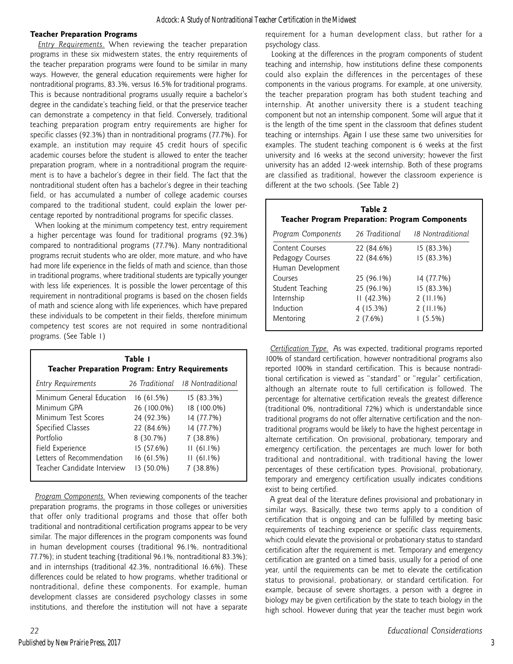#### **Teacher Preparation Programs**

 *Entry Requirements.* When reviewing the teacher preparation programs in these six midwestern states, the entry requirements of the teacher preparation programs were found to be similar in many ways. However, the general education requirements were higher for nontraditional programs, 83.3%, versus 16.5% for traditional programs. This is because nontraditional programs usually require a bachelor's degree in the candidate's teaching field, or that the preservice teacher can demonstrate a competency in that field. Conversely, traditional teaching preparation program entry requirements are higher for specific classes (92.3%) than in nontraditional programs (77.7%). For example, an institution may require 45 credit hours of specific academic courses before the student is allowed to enter the teacher preparation program, where in a nontraditional program the requirement is to have a bachelor's degree in their field. The fact that the nontraditional student often has a bachelor's degree in their teaching field, or has accumulated a number of college academic courses compared to the traditional student, could explain the lower percentage reported by nontraditional programs for specific classes.

 When looking at the minimum competency test, entry requirement a higher percentage was found for traditional programs (92.3%) compared to nontraditional programs (77.7%). Many nontraditional programs recruit students who are older, more mature, and who have had more life experience in the fields of math and science, than those in traditional programs, where traditional students are typically younger with less life experiences. It is possible the lower percentage of this requirement in nontraditional programs is based on the chosen fields of math and science along with life experiences, which have prepared these individuals to be competent in their fields, therefore minimum competency test scores are not required in some nontraditional programs. (See Table 1)

| Table 1<br><b>Teacher Preparation Program: Entry Requirements</b> |             |                                  |  |  |
|-------------------------------------------------------------------|-------------|----------------------------------|--|--|
| <b>Entry Requirements</b>                                         |             | 26 Traditional 18 Nontraditional |  |  |
| Minimum General Education                                         | 16(61.5%)   | 15(83.3%)                        |  |  |
| Minimum GPA                                                       | 26 (100.0%) | 18 (100.0%)                      |  |  |
| Minimum Test Scores                                               | 24 (92.3%)  | 14 (77.7%)                       |  |  |
| Specified Classes                                                 | 22 (84.6%)  | 14 (77.7%)                       |  |  |
| Portfolio                                                         | 8 (30.7%)   | 7(38.8%)                         |  |  |
| Field Experience                                                  | 15 (57.6%)  | $11(61.1\%)$                     |  |  |
| Letters of Recommendation                                         | 16(61.5%)   | $11(61.1\%)$                     |  |  |
| Teacher Candidate Interview                                       | 13 (50.0%)  | $7(38.8\%)$                      |  |  |

 *Program Components.* When reviewing components of the teacher preparation programs, the programs in those colleges or universities that offer only traditional programs and those that offer both traditional and nontraditional certification programs appear to be very similar. The major differences in the program components was found in human development courses (traditional 96.1%, nontraditional 77.7%); in student teaching (traditional 96.1%, nontraditional 83.3%); and in internships (traditional 42.3%, nontraditional 16.6%). These differences could be related to how programs, whether traditional or nontraditional, define these components. For example, human development classes are considered psychology classes in some institutions, and therefore the institution will not have a separate

requirement for a human development class, but rather for a psychology class.

 Looking at the differences in the program components of student teaching and internship, how institutions define these components could also explain the differences in the percentages of these components in the various programs. For example, at one university, the teacher preparation program has both student teaching and internship. At another university there is a student teaching component but not an internship component. Some will argue that it is the length of the time spent in the classroom that defines student teaching or internships. Again I use these same two universities for examples. The student teaching component is 6 weeks at the first university and 16 weeks at the second university; however the first university has an added 12-week internship. Both of these programs are classified as traditional, however the classroom experience is different at the two schools. (See Table 2)

| Table 2<br><b>Teacher Program Preparation: Program Components</b> |                |                   |  |  |
|-------------------------------------------------------------------|----------------|-------------------|--|--|
| Program Components                                                | 26 Traditional | 18 Nontraditional |  |  |
| Content Courses                                                   | 22 (84.6%)     | 15(83.3%)         |  |  |
| Pedagogy Courses                                                  | 22 (84.6%)     | 15(83.3%)         |  |  |
| Human Development                                                 |                |                   |  |  |
| Courses                                                           | 25 (96.1%)     | 14 (77.7%)        |  |  |
| Student Teaching                                                  | 25 (96.1%)     | 15 (83.3%)        |  |  |
| Internship                                                        | 11(42.3%)      | $2(11.1\%)$       |  |  |
| Induction                                                         | 4 (15.3%)      | $2(11.1\%)$       |  |  |
| Mentoring                                                         | $2(7.6\%)$     | 1(5.5%)           |  |  |

 *Certification Type.* As was expected, traditional programs reported 100% of standard certification, however nontraditional programs also reported 100% in standard certification. This is because nontraditional certification is viewed as "standard" or "regular" certification, although an alternate route to full certification is followed. The percentage for alternative certification reveals the greatest difference (traditional 0%, nontraditional 72%) which is understandable since traditional programs do not offer alternative certification and the nontraditional programs would be likely to have the highest percentage in alternate certification. On provisional, probationary, temporary and emergency certification, the percentages are much lower for both traditional and nontraditional, with traditional having the lower percentages of these certification types. Provisional, probationary, temporary and emergency certification usually indicates conditions exist to being certified.

 A great deal of the literature defines provisional and probationary in similar ways. Basically, these two terms apply to a condition of certification that is ongoing and can be fulfilled by meeting basic requirements of teaching experience or specific class requirements, which could elevate the provisional or probationary status to standard certification after the requirement is met. Temporary and emergency certification are granted on a timed basis, usually for a period of one year, until the requirements can be met to elevate the certification status to provisional, probationary, or standard certification. For example, because of severe shortages, a person with a degree in biology may be given certification by the state to teach biology in the high school. However during that year the teacher must begin work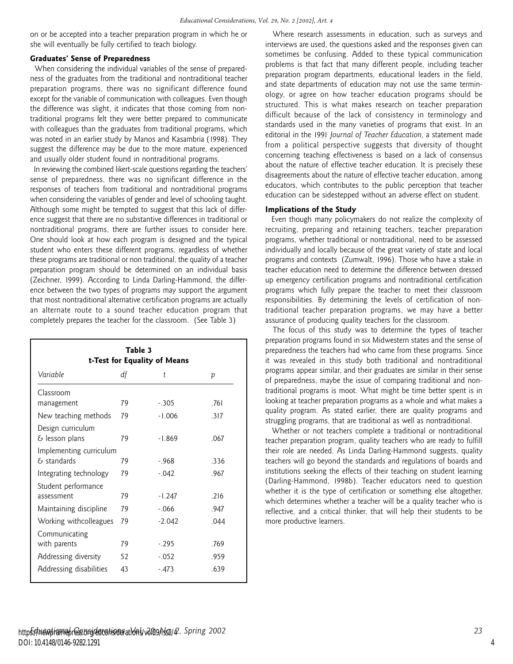on or be accepted into a teacher preparation program in which he or she will eventually be fully certified to teach biology.

#### **Graduates' Sense of Preparedness**

 When considering the individual variables of the sense of preparedness of the graduates from the traditional and nontraditional teacher preparation programs, there was no significant difference found except for the variable of communication with colleagues. Even though the difference was slight, it indicates that those coming from nontraditional programs felt they were better prepared to communicate with colleagues than the graduates from traditional programs, which was noted in an earlier study by Manos and Kasambria (1998). They suggest the difference may be due to the more mature, experienced and usually older student found in nontraditional programs.

 In reviewing the combined likert-scale questions regarding the teachers' sense of preparedness, there was no significant difference in the responses of teachers from traditional and nontraditional programs when considering the variables of gender and level of schooling taught. Although some might be tempted to suggest that this lack of difference suggest that there are no substantive differences in traditional or nontraditional programs, there are further issues to consider here. One should look at how each program is designed and the typical student who enters these different programs, regardless of whether these programs are traditional or non traditional, the quality of a teacher preparation program should be determined on an individual basis (Zeichner, 1999). According to Linda Darling-Hammond, the difference between the two types of programs may support the argument that most nontraditional alternative certification programs are actually an alternate route to a sound teacher education program that completely prepares the teacher for the classroom. (See Table 3)

| Table 3<br>t-Test for Equality of Means      |    |          |      |  |  |
|----------------------------------------------|----|----------|------|--|--|
| Variable                                     | df | t        | p    |  |  |
| Classroom                                    |    |          |      |  |  |
| management                                   | 79 | $-305$   | .761 |  |  |
| New teaching methods                         | 79 | $-1.006$ | .317 |  |  |
| Design curriculum<br>$\epsilon$ lesson plans | 79 | $-1.869$ | .067 |  |  |
| Implementing curriculum<br>$\xi$ standards   | 79 | $-968$   | .336 |  |  |
| Integrating technology                       | 79 | $-.042$  | .967 |  |  |
| Student performance<br>assessment            | 79 | $-1.247$ | .216 |  |  |
| Maintaining discipline                       | 79 | $-.066$  | .947 |  |  |
| Working withcolleagues                       | 79 | $-2.042$ | .044 |  |  |
| Communicating<br>with parents                | 79 | $-.295$  | .769 |  |  |
| Addressing diversity                         | 52 | $-.052$  | .959 |  |  |
| Addressing disabilities                      | 43 | $-.473$  | .639 |  |  |

 Where research assessments in education, such as surveys and interviews are used, the questions asked and the responses given can sometimes be confusing. Added to these typical communication problems is that fact that many different people, including teacher preparation program departments, educational leaders in the field, and state departments of education may not use the same terminology, or agree on how teacher education programs should be structured. This is what makes research on teacher preparation difficult because of the lack of consistency in terminology and standards used in the many varieties of programs that exist. In an editorial in the 1991 *Journal of Teacher Education*, a statement made from a political perspective suggests that diversity of thought concerning teaching effectiveness is based on a lack of consensus about the nature of effective teacher education. It is precisely these disagreements about the nature of effective teacher education, among educators, which contributes to the public perception that teacher education can be sidestepped without an adverse effect on student.

#### **Implications of the Study**

 Even though many policymakers do not realize the complexity of recruiting, preparing and retaining teachers, teacher preparation programs, whether traditional or nontraditional, need to be assessed individually and locally because of the great variety of state and local programs and contexts (Zumwalt, 1996). Those who have a stake in teacher education need to determine the difference between dressed up emergency certification programs and nontraditional certification programs which fully prepare the teacher to meet their classroom responsibilities. By determining the levels of certification of nontraditional teacher preparation programs, we may have a better assurance of producing quality teachers for the classroom.

 The focus of this study was to determine the types of teacher preparation programs found in six Midwestern states and the sense of preparedness the teachers had who came from these programs. Since it was revealed in this study both traditional and nontraditional programs appear similar, and their graduates are similar in their sense of preparedness, maybe the issue of comparing traditional and nontraditional programs is moot. What might be time better spent is in looking at teacher preparation programs as a whole and what makes a quality program. As stated earlier, there are quality programs and struggling programs, that are traditional as well as nontraditional.

 Whether or not teachers complete a traditional or nontraditional teacher preparation program, quality teachers who are ready to fulfill their role are needed. As Linda Darling-Hammond suggests, quality teachers will go beyond the standards and regulations of boards and institutions seeking the effects of their teaching on student learning (Darling-Hammond, 1998b). Teacher educators need to question whether it is the type of certification or something else altogether, which determines whether a teacher will be a quality teacher who is reflective, and a critical thinker, that will help their students to be more productive learners.

4